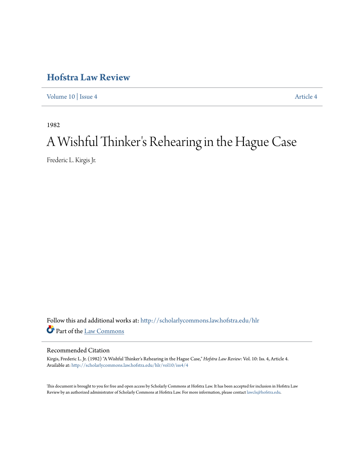## **[Hofstra Law Review](http://scholarlycommons.law.hofstra.edu/hlr?utm_source=scholarlycommons.law.hofstra.edu%2Fhlr%2Fvol10%2Fiss4%2F4&utm_medium=PDF&utm_campaign=PDFCoverPages)**

[Volume 10](http://scholarlycommons.law.hofstra.edu/hlr/vol10?utm_source=scholarlycommons.law.hofstra.edu%2Fhlr%2Fvol10%2Fiss4%2F4&utm_medium=PDF&utm_campaign=PDFCoverPages) | [Issue 4](http://scholarlycommons.law.hofstra.edu/hlr/vol10/iss4?utm_source=scholarlycommons.law.hofstra.edu%2Fhlr%2Fvol10%2Fiss4%2F4&utm_medium=PDF&utm_campaign=PDFCoverPages) [Article 4](http://scholarlycommons.law.hofstra.edu/hlr/vol10/iss4/4?utm_source=scholarlycommons.law.hofstra.edu%2Fhlr%2Fvol10%2Fiss4%2F4&utm_medium=PDF&utm_campaign=PDFCoverPages)

1982

# A Wishful Thinker 's Rehearing in the Hague Case

Frederic L. Kirgis Jr.

Follow this and additional works at: [http://scholarlycommons.law.hofstra.edu/hlr](http://scholarlycommons.law.hofstra.edu/hlr?utm_source=scholarlycommons.law.hofstra.edu%2Fhlr%2Fvol10%2Fiss4%2F4&utm_medium=PDF&utm_campaign=PDFCoverPages) Part of the [Law Commons](http://network.bepress.com/hgg/discipline/578?utm_source=scholarlycommons.law.hofstra.edu%2Fhlr%2Fvol10%2Fiss4%2F4&utm_medium=PDF&utm_campaign=PDFCoverPages)

#### Recommended Citation

Kirgis, Frederic L. Jr. (1982) "A Wishful Thinker's Rehearing in the Hague Case," *Hofstra Law Review*: Vol. 10: Iss. 4, Article 4. Available at: [http://scholarlycommons.law.hofstra.edu/hlr/vol10/iss4/4](http://scholarlycommons.law.hofstra.edu/hlr/vol10/iss4/4?utm_source=scholarlycommons.law.hofstra.edu%2Fhlr%2Fvol10%2Fiss4%2F4&utm_medium=PDF&utm_campaign=PDFCoverPages)

This document is brought to you for free and open access by Scholarly Commons at Hofstra Law. It has been accepted for inclusion in Hofstra Law Review by an authorized administrator of Scholarly Commons at Hofstra Law. For more information, please contact [lawcls@hofstra.edu](mailto:lawcls@hofstra.edu).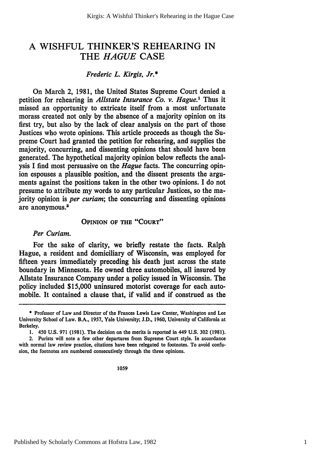### A WISHFUL THINKER'S REHEARING IN THE *HAGUE* CASE

#### *Frederic L. Kirgis, Jr.\**

On March 2, 1981, the United States Supreme Court denied a petition for rehearing in *Allstate Insurance Co. v. Hague.'* Thus it missed an opportunity to extricate itself from a most unfortunate morass created not only by the absence of a majority opinion on its first try, but also by the lack of clear analysis on the part of those Justices who wrote opinions. This article proceeds as though the Supreme Court had granted the petition for rehearing, and supplies the majority, concurring, and dissenting opinions that should have been generated. The hypothetical majority opinion below reflects the analysis I find most persuasive on the *Hague* facts. The concurring opinion espouses a plausible position, and the dissent presents the arguments against the positions taken in the other two opinions. I do not presume to attribute my words to any particular Justices, so the majority opinion is *per curiam;* the concurring and dissenting opinions are anonymous.<sup>2</sup>

#### **OPINION OF THE "COURT"**

#### *Per Curiam.*

For the sake of clarity, we briefly restate the facts. Ralph Hague, a resident and domiciliary of Wisconsin, was employed for fifteen years immediately preceding his death just across the state boundary in Minnesota. He owned three automobiles, all insured **by** Allstate Insurance Company under a policy issued in Wisconsin. The policy included **\$15,000** uninsured motorist coverage for each automobile. It contained a clause that, if valid and if construed as the

1059

**<sup>\*</sup>** Professor of Law and Director of the Frances Lewis Law Center, Washington and **Lee** University School of Law. B.A., **1957,** Yale University; **J.D., 1960,** University of California at Berkeley.

**<sup>1.</sup>** 450 **U.S. 971 (1981).** The decision on the merits is reported in 449 **U.S. 302 (1981).**

<sup>2.</sup> Purists will note a few other departures from Supreme Court style. In accordance with normal law review practice, citations have been relegated to footnotes. To avoid confusion, the footnotes are numbered consecutively through the three opinions.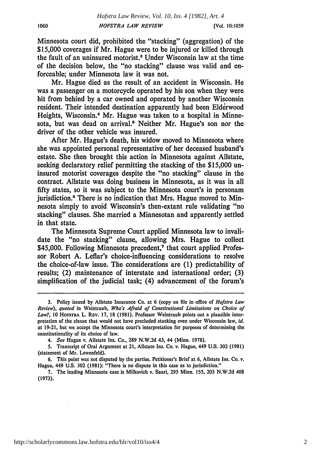Minnesota court did, prohibited the "stacking" (aggregation) of the \$15,000 coverages if Mr. Hague were to be injured or killed through the fault of an uninsured motorist.3 Under Wisconsin law at the time of the decision below, the "no stacking" clause was valid and enforceable; under Minnesota law it was not.

Mr. Hague died as the result of an accident in Wisconsin. He was a passenger on a motorcycle operated by his son when they were hit from behind by a car owned and operated by another Wisconsin resident. Their intended destination apparently had been Elderwood Heights, Wisconsin.<sup>4</sup> Mr. Hague was taken to a hospital in Minnesota, but was dead on arrival.<sup>5</sup> Neither Mr. Hague's son nor the driver of the other vehicle was insured.

After Mr. Hague's death, his widow moved to Minnesota where she was appointed personal representative of her deceased husband's estate. She then brought this action in Minnesota against Allstate, seeking declaratory relief permitting the stacking of the \$15,000 uninsured motorist coverages despite the "no stacking" clause in the contract. Allstate was doing business in Minnesota, as it was in all fifty states, so it was subject to the Minnesota court's in personam jurisdiction.<sup>6</sup> There is no indication that Mrs. Hague moved to Minnesota simply to avoid Wisconsin's then-extant rule validating "no stacking" clauses. She married a Minnesotan and apparently settled in that state.

The Minnesota Supreme Court applied Minnesota law to invalidate the "no stacking" clause, allowing Mrs. Hague to collect \$45,000. Following Minnesota precedent,<sup>7</sup> that court applied Professor Robert A. Leflar's choice-influencing considerations to resolve the choice-of-law issue. The considerations are (1) predictability of results; (2) maintenance of interstate and international order; (3) simplification of the judicial task; (4) advancement of the forum's

**<sup>3.</sup>** Policy issued **by** Allstate Insurance Co. at **6** (copy on **file** in office of *Hofstra Law Review), quoted* in Weintraub, *Who's Afraid of Constitutional Limitations on Choice of Law?,* **10** HOFSTRA L. REV. 17, 18 (1981). Professor Weintraub points out a plausible interpretation of the clause that would not have precluded stacking even under Wisconsin law, *id.* at 19-21, but we accept the Minnesota court's interpretation for purposes of determining the constitutionality of its choice of law.

*<sup>4.</sup> See* Hague v. Allstate Ins. Co., **289 N.W.2d** 43, 44 (Minn. **1978).**

*<sup>5.</sup>* Transcript of Oral Argument at 21, Allstate Ins. Co. v. Hague, 449 **U.S. 302 (1981)** (statement of Mr. Lowenfeld).

**<sup>6.</sup>** This point was not disputed **by** the parties. Petitioner's Brief at **6,** Allstate Ins. Co. v. Hague, 449 **U.S. 302 (1981):** "There is no dispute in this case as to jurisdiction."

**<sup>7.</sup>** The leading Minnesota case is Milkovich v. Saari, **295** Minn. **155, 203 N.W.2d** 408 **(1973).**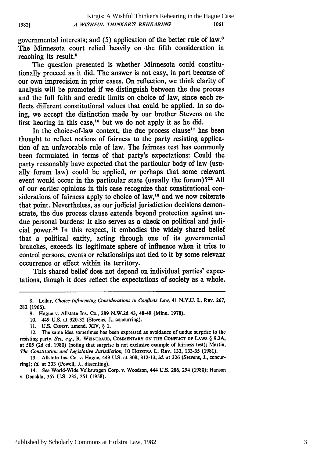governmental interests; and (5) application of the better rule of law.8 The Minnesota court relied heavily on -the fifth consideration in reaching its result.<sup>9</sup>

The question presented is whether Minnesota could constitutionally proceed as it did. The answer is not easy, in part because of our own imprecision in prior cases. On reflection, we think clarity of analysis will be promoted if we distinguish between the due process and the full faith and credit limits on choice of law, since each reflects different constitutional values that could be applied. In so doing, we accept the distinction made by our brother Stevens on the first hearing in this case,<sup>10</sup> but we do not apply it as he did.

In the choice-of-law context, the due process clause<sup>11</sup> has been thought to reflect notions of fairness to the party resisting application of an unfavorable rule of law. The fairness test has commonly been formulated in terms of that party's expectations: Could the party reasonably have expected that the particular body of law (usually forum law) could be applied, or perhaps that some relevant event would occur in the particular state (usually the forum)?<sup>12</sup> All of our earlier opinions in this case recognize that constitutional considerations of fairness apply to choice of  $law$ <sup>13</sup> and we now reiterate that point. Nevertheless, as our judicial jurisdiction decisions demonstrate, the due process clause extends beyond protection against undue personal burdens: It also serves as a check on political and judicial power.<sup>14</sup> In this respect, it embodies the widely shared belief that a political entity, acting through one of its governmental branches, exceeds its legitimate sphere of influence when it tries to control persons, events or relationships not tied to it by some relevant occurrence or effect within its territory.

This shared belief does not depend on individual parties' expectations, though it does reflect the expectations of society as a whole.

<sup>8.</sup> Leflar, *Choice-Influencing Considerations in Conflicts Law,* 41 N.Y.U. L. **REV.** 267, 282 (1966).

<sup>9.</sup> Hague v. Allstate Ins. Co., 289 N.W.2d 43, 48-49 (Minn. 1978).

<sup>10. 449</sup> U.S. at 320-32 (Stevens, **J.,** concurring).

<sup>11.</sup> U.S. CONST. amend. XIV, § 1.

<sup>12.</sup> The same idea sometimes has been expressed as avoidance of undue surprise to the resisting party. *See, e.g.,* R. **WEINTRAUB,** COMMENTARY **ON THE CONFUCT** OF LAWS § 9.2A, at 505 (2d ed. 1980) (noting that surprise is not exclusive example of fairness test); Martin, *The Constitution and Legislative Jurisdiction,* 10 **HoFSTRA** L. REV. 133, 133-35 (1981).

<sup>13.</sup> Allstate Ins. Co. v. Hague, 449 **U.S.** at 308, 312-13; *id.* at **326** (Stevens, J., concurring); *id.* at 333 (Powell, J., dissenting).

<sup>14.</sup> *See* World-Wide Volkswagen Corp. v. Woodson, 444 U.S. 286, 294 (1980); Hanson v. Denckla, 357 U.S. 235, 251 (1958).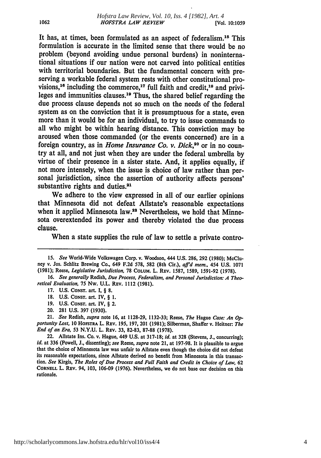It has, at times, been formulated as an aspect of federalism.<sup>15</sup> This formulation is accurate in the limited sense that there would be no problem (beyond avoiding undue personal burdens) in noninternational situations if our nation were not carved into political entities with territorial boundaries. But the fundamental concern with preserving a workable federal system rests with other constitutional provisions,<sup>16</sup> including the commerce,<sup>17</sup> full faith and credit,<sup>18</sup> and privileges and immunities clauses.19 Thus, the shared belief regarding the due process clause depends not so much on the needs of the federal system as on the conviction that it is presumptuous for a state, even more than it would be for an individual, to try to issue commands to all who might be within hearing distance. This conviction may be aroused when those commanded (or the events concerned) are in a foreign country, as in *Home Insurance Co. v. Dick*,<sup>20</sup> or in no country at all, and not just when they are under the federal umbrella by virtue of their presence in a sister state. And, it applies equally, if not more intensely, when the issue is choice of law rather than personal jurisdiction, since the assertion of authority affects persons' substantive rights and duties.<sup>21</sup>

We adhere to the view expressed in all of our earlier opinions that Minnesota did not defeat Allstate's reasonable expectations when it applied Minnesota law.<sup>22</sup> Nevertheless, we hold that Minnesota overextended its power and thereby violated the due process clause.

When a state supplies the rule of law to settle a private contro-

20. **281 U.S. 397 (1930).**

http://scholarlycommons.law.hofstra.edu/hlr/vol10/iss4/4

*<sup>15.</sup> See* World-Wide Volkswagen Corp. v. Woodson, 444 **U.S. 286, 292 (1980);** McCluney v. Jos. Schlitz Brewing Co., 649 **F.2d 578, 582** (8th Cir.), *affd mem.,* **454 U.S. 1071 (1981);** Reese, Legislative *Jurisdiction,* **78 COLUM.** L. REV. **1587, 1589, 1591-92 (1978).**

**<sup>16.</sup>** *See generally* Redish, *Due Process, Federalism, and Personal Jurisdiction: A Theo*retical Evaluation, **75** Nw. **U.L. REV. 1112 (1981).**

**<sup>17.</sup> U.S. CONST.** art. **I,** § **8.**

**<sup>18.</sup> U.S.** CONST. art. IV, § **1.**

**<sup>19.</sup> U.S. CONST.** art. IV, § 2.

<sup>21.</sup> See Redish, *supra* note **16,** at **1128-29, 1132-33;** Reese, The Hague Case: An **Op**portunity *Lost,* **10 HOFSTRA** L. **REV. 195, 197, 201 (1981);** Silberman, Shaffer v. Heitner: *The* End of an Era, 53 **N.Y.U.** L. **REV. 33, 82-83, 87-88 (1978).**

<sup>22.</sup> Allstate Ins. Co. v. Hague, 449 **U.S.** at **317-18;** id. at **328** (Stevens, **J.,** concurring); *Id.* at 336 (Powell, **J.,** dissenting); *see* Reese, *supra* note 21, at **197-98.** It is plausible to argue that the choice of Minnesota law was unfair to Allstate even though the choice did not defeat its reasonable expectations, since Allstate derived no benefit from Minnesota in this transaction. See Kirgis, The Roles of Due Process and Full Faith and Credit *in* Choice of Law **<sup>62</sup> CORNELL** L. **REV.** 94, **103, 106-09 (1976).** Nevertheless, we do not base our decision on this rationale.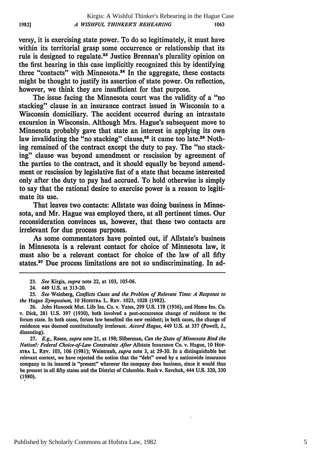versy, it is exercising state power. To do so legitimately, it must have within its territorial grasp some occurrence or relationship that its rule is designed to regulate.23 Justice Brennan's plurality opinion on the first hearing in this case implicitly recognized this by identifying three "contacts" with Minnesota.24 In the aggregate, these contacts might be thought to justify its assertion of state power. On reflection, however, we think they are insufficient for that purpose.

The issue facing the Minnesota court was the validity of a "no stacking" clause in an insurance contract issued in Wisconsin to a Wisconsin domiciliary. The accident occurred during an intrastate excursion in Wisconsin. Although Mrs. Hague's subsequent move to Minnesota probably gave that state an interest in applying its own law invalidating the "no stacking" clause,<sup>25</sup> it came too late.<sup>26</sup> Nothing remained of the contract except the duty to pay. The "no stacking" clause was beyond amendment or rescission by agreement of the parties to the contract, and it should equally be beyond amendment or rescission by legislative fiat of a state that became interested only after the duty to pay had accrued. To hold otherwise is simply to say that the rational desire to exercise power is a reason to legitimate its use.

That leaves two contacts: Allstate was doing business in Minnesota, and Mr. Hague was employed there, at all pertinent times. Our reconsideration convinces us, however, that these two contacts are irrelevant for due process purposes.

As some commentators have pointed out, if Allstate's business in Minnesota is a relevant contact for choice of Minnesota law, it must also be a relevant contact for choice of the law of all fifty states.<sup>27</sup> Due process limitations are not so undiscriminating. In ad-

**27.** *E.g.,* Reese, *supra* note 21, at 198; Silberman, *Can the State of Minnesota Bind the Nation?: Federal Choice-of-Law Constraints After* Allstate Insurance Co. v. Hague, **10** HoF**sTRA** L. **REV. 103, 106 (1981);** Weintraub, *supra* note **3,** at **29-30.** In a distinguishable but relevant context, we have rejected the notion that the "debt" owed by a nationwide insurance company to its insured is "present" wherever the company does business, since it would thus **be** present in all fifty states and the District of Columbia. Rush v. Savchuk, 444 **U.S. 320, 330 (1980).**

**1982]**

*<sup>23.</sup> See* Kirgis, *supra* note 22, at 103, 105-06.

<sup>24. 449</sup> U.S. at 313-20.

*<sup>25.</sup> See* Weinberg, *Conflicts Cases and the Problem of Relevant Time: A Response to the* Hague *Symposium,* 10 **HOFSTRA** L. REV. 1023, 1028 (1982).

<sup>26.</sup> John Hancock Mut. Life Ins. Co. v. Yates, 299 U.S. 178 (1936), and Home Ins. **Co.** v. Dick, **281** U.S. 397 (1930), both involved a post-occurrence change of residence to the forum state. In both cases, forum law benefited the new resident; in both cases, the change of residence was deemed constitutionally irrelevant. *Accord Hague,* 449 U.S. at 337 (Powell, J., dissenting).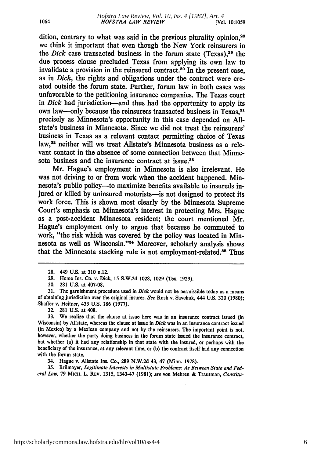dition, contrary to what was said in the previous plurality opinion.<sup>28</sup> we think it important that even though the New York reinsurers in the *Dick* case transacted business in the forum state (Texas).<sup>29</sup> the due process clause precluded Texas from applying its own law to invalidate a provision in the reinsured contract.30 In the present case, as in *Dick,* the rights and obligations under the contract were created outside the forum state. Further, forum law in both cases was unfavorable to the petitioning insurance companies. The Texas court in *Dick* had jurisdiction—and thus had the opportunity to apply its own law—only because the reinsurers transacted business in Texas.<sup>31</sup> precisely as Minnesota's opportunity in this case depended on **All**state's business in Minnesota. Since we did not treat the reinsurers' business in Texas as a relevant contact permitting choice of Texas law,<sup>32</sup> neither will we treat Allstate's Minnesota business as a relevant contact in the absence of some connection between that Minnesota business and the insurance contract at issue.<sup>33</sup>

Mr. Hague's employment in Minnesota is also irrelevant. He was not driving to or from work when the accident happened. Minnesota's public policy—to maximize benefits available to insureds injured or killed by uninsured motorists—is not designed to protect its work force. This is shown most clearly by the Minnesota Supreme Court's emphasis on Minnesota's interest in protecting Mrs. Hague as a post-accident Minnesota resident; the court mentioned Mr. Hague's employment only to argue that because he commuted to work, "the risk which was covered by the policy was located in Minnesota as well as Wisconsin."<sup>34</sup> Moreover, scholarly analysis shows that the Minnesota stacking rule is not employment-related.<sup>35</sup> Thus

**32. 281 U.S.** at 408.

34. Hague v. Allstate Ins. Co., **289 N.W.2d** 43, 47 (Minn. 1978).

**35.** Brilmayer, *Legitimate Interests in Multistate Problems: As Between State and Federal Law,* **79** MICH. L. REV. **1315,** 1343-47 **(1981);** *see* von Mehren **&** Trautman, *Constitu-*

**<sup>28.</sup>** 449 **U.S.** at **310** n.12.

**<sup>29.</sup>** Home Ins. Co. v. Dick, **15 S.W.2d 1028, 1029** (Tex. 1929).

**<sup>30. 281</sup>** U.S. at **407-08.**

**<sup>31.</sup>** The garnishment procedure used in *Dick* would not **be** permissible today as a means of obtaining jurisdiction over the original insurer. *See* Rush v. Savchuk, 444 U.S. **320** (1980); Shaffer v. Heitner, 433 **U.S. 186** (1977).

**<sup>33.</sup>** We realize that the clause at issue here was in an insurance contract issued (in Wisconsin) **by** Allstate, whereas the clause at issue in *Dick* was in an insurance contract issued (in Mexico) **by** a Mexican company and not **by** the reinsurers. The important point is not, however, whether the party doing business in the forum state issued the insurance contract, **but** whether (a) it had any relationship in that state with the insured, or perhaps with the beneficiary of the insurance, at any relevant time, or (b) the contract itself had any connection with the forum state.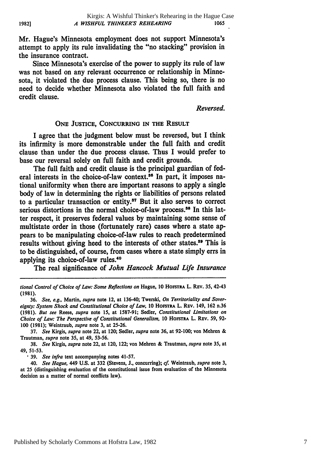Mr. Hague's Minnesota employment does not support Minnesota's attempt to apply its rule invalidating the "no stacking" provision in the insurance contract.

Since Minnesota's exercise of the power to supply its rule of law was not based on any relevant occurrence or relationship in Minnesota, it violated the due process clause. This being so, there is no need to decide whether Minnesota also violated the full faith and credit clause.

*Reversed.*

#### **ONE JUSTICE, CONCURRING IN THE RESULT**

I agree that the judgment below must be reversed, but **I** think its infirmity is more demonstrable under the full faith and credit clause than under the due process clause. Thus **I** would prefer to base our reversal solely on full faith and credit grounds.

The full faith and credit clause is the principal guardian of federal interests in the choice-of-law context.<sup>36</sup> In part, it imposes national uniformity when there are important reasons to apply a single body of law in determining the rights or liabilities of persons related to a particular transaction or entity.3' But it also serves to correct serious distortions in the normal choice-of-law process.<sup>38</sup> In this latter respect, it preserves federal values **by** maintaining some sense of multistate order in those (fortunately rare) cases where a state appears to be manipulating choice-of-law rules to reach predetermined results without giving heed to the interests of other states.<sup>39</sup> This is to be distinguished, of course, from cases where a state simply **errs** in applying its choice-of-law rules.<sup>40</sup>

The real significance of *John Hancock Mutual Life Insurance*

**37.** *See* Kirgis, *supra* note 22, at 120; Sedler, *supra* note **36,** at **92-100;** von Mehren **&** Trautman, *supra* note **35,** at 49, **53-56.**

**38.** *See* Kirgis, *supra* note 22, at 120, 122; von Mebren **&** Trautman, *supra* note **35,** at **49, 51-53.**

**39.** *See infra* text accompanying notes 41-57.

40. *See Hague,* 449 **U.S.** at **332** (Stevens, **J.,** concurring); *cf.* Weintraub, *supra* note **3,** at **25** (distinguishing evaluation of the constitutional issue from evaluation of the Minnesota decision as a matter of normal conflicts law).

*tional Control of Choice of Law: Some Reflections on* Hague, **10 HOFSTRA L. REV. 35,** 42-43 **(1981).**

**<sup>36.</sup>** *See, e.g.,* Martin, *supra* note 12, at 136-40; Twerski, *On* Territoriality and Sover*eignty: System Shock and Constitutional Choice of Law,* **10 HoSTrRA** L. REv. 149, **162 n.36 (1981).** *But see* Reese, *supra* note **15,** at **1587-91;** Sedler, *Constitutional Limitations on Choice of Law: The Perspective of Constitutional Generalism, <sup>10</sup>***HOFSTRA** L. **REV. 59, 92- 100 (1981);** Weintraub, *supra* note **3,** at **25-26.**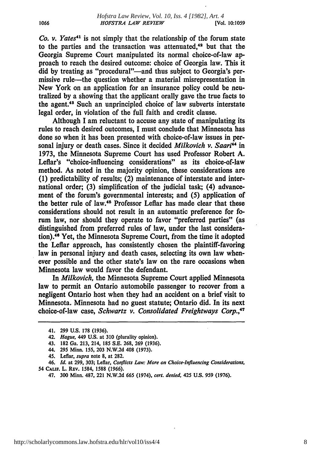*Co. v. Yates"* is not simply that the relationship of the forum state to the parties and the transaction was attenuated.<sup>42</sup> but that the Georgia Supreme Court manipulated its normal choice-of-law approach to reach the desired outcome: choice of Georgia law. This it did by treating as "procedural"—and thus subject to Georgia's permissive rule-the question whether a material misrepresentation in New York on an application for an insurance policy could be neutralized by a showing that the applicant orally gave the true facts to the agent.43 Such an unprincipled choice of law subverts interstate legal order, in violation of the full faith and credit clause.

Although I am reluctant to accuse any state of manipulating its rules to reach desired outcomes, I must conclude that Minnesota has done so when it has been presented with choice-of-law issues in personal injury or death cases. Since it decided *Milkovich v. Saari*<sup>44</sup> in 1973, the Minnesota Supreme Court has used Professor Robert A. Leflar's "choice-influencing considerations" as its choice-of-law method. As noted in the majority opinion, these considerations are **(1)** predictability of results; (2) maintenance of interstate and international order; **(3)** simplification of the judicial task; (4) advancement of the forum's governmental interests; and **(5)** application of the better rule of law.45 Professor Leflar has made clear that these considerations should not result in an automatic preference for forum law, nor should they operate to favor "preferred parties" (as distinguished from preferred rules of law, under the last consideration). 46 Yet, the Minnesota Supreme Court, from the time it adopted the Leflar approach, has consistently chosen the plaintiff-favoring law in personal injury and death cases, selecting its own law whenever possible and the other state's law on the rare occasions when Minnesota law would favor the defendant.

In *Milkovich,* the Minnesota Supreme Court applied Minnesota law to permit an Ontario automobile passenger to recover from a negligent Ontario host when they had an accident on a brief visit to Minnesota. Minnesota had no guest statute; Ontario did. In its next choice-of-law case, *Schwartz v. Consolidated Freightways Corp.,'7*

46. *Id.* at **299, 303;** Leflar, *Conflicts Law: More on Choice-Influencing Considerations,* 54 **CALIF.** L. **REV.** 1584, **1588 (1966).**

<sup>41.</sup> **299 U.S. 178 (1936).**

<sup>42.</sup> *Hague,* 449 **U.S.** at **310** (plurality opinion).

<sup>43.</sup> **182** Ga. **213,** 214, **185 S.E. 268, 269 (1936).**

<sup>44.</sup> **295** Minn. **155, 203 N.W.2d** 408 **(1973).**

<sup>45.</sup> Leflar, *supra* note **8,** at **282.**

<sup>47.</sup> **300** Minn. **487,** 221 **N.W.2d 665** (1974), *cert. denied,* 425 **U.S. 959 (1976).**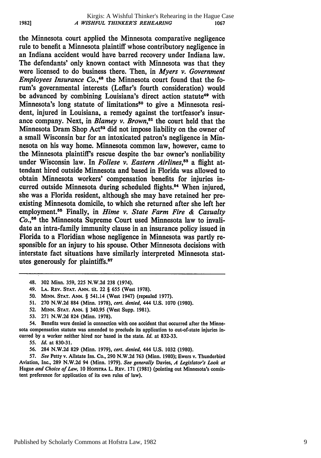the Minnesota court applied the Minnesota comparative negligence rule to benefit a Minnesota plaintiff whose contributory negligence in an Indiana accident would have barred recovery under Indiana law. The defendants' only known contact with Minnesota was that they were licensed to do business there. Then, in *Myers v. Government Employees Insurance Co.*<sup>48</sup> the Minnesota court found that the forum's governmental interests (Leflar's fourth consideration) would be advanced by combining Louisiana's direct action statute<sup>49</sup> with Minnesota's long statute of limitations<sup>50</sup> to give a Minnesota resident, injured in Louisiana, a remedy against the tortfeasor's insurance company. Next, in *Blamey v. Brown*,<sup>51</sup> the court held that the Minnesota Dram Shop Act<sup>52</sup> did not impose liability on the owner of a small Wisconsin bar for an intoxicated patron's negligence in Minnesota on his way home. Minnesota common law, however, came to the Minnesota plaintiff's rescue despite the bar owner's nonliability under Wisconsin law. In *Follese v. Eastern Airlines*,<sup>53</sup> a flight attendant hired outside Minnesota and based in Florida was allowed to obtain Minnesota workers' compensation benefits for injuries incurred outside Minnesota during scheduled flights.<sup>54</sup> When injured, she was a Florida resident, although she may have retained her preexisting Minnesota domicile, to which she returned after she left her employment. 55 Finally, in *Hime v. State Farm Fire & Casualty Co., <sup>56</sup>*the Minnesota Supreme Court used Minnesota law to invalidate an intra-family immunity clause in an insurance policy issued in Florida to a Floridian whose negligence in Minnesota was partly responsible for an injury to his spouse. Other Minnesota decisions with interstate fact situations have similarly interpreted Minnesota statutes generously for plaintiffs.<sup>57</sup>

54. Benefits were denied in connection with one accident that occurred after the Minnesota compensation statute was amended to preclude its application to out-of-state injuries incurred **by** a worker neither hired nor based in the state. *Id.* at **832-33.**

**56.** 284 **N.W.2d 829** (Minn. **1979),** *cert. denied,* 444 **U.S. 1032 (1980).**

**57.** *See* Petty v. Allstate Ins. Co., **290 N.W.2d 763** (Minn. **1980);** Ewers v. Thunderbird Aviation, Inc., **289 N.W.2d** 94 (Minn. **1979).** *See generally* Davies, *A Legislator's Look at* Hague *and Choice of Law,* **10** HOFsTRA L. **REV. 171 (1981)** (pointing out Minnesota's consistent preference for application of its own rules of law).

**1982]**

**<sup>48. 302</sup>** Minn. **359, 225 N.W.2d 238** (1974).

**<sup>49.</sup> LA. REV. STAT. ANN. tit. 22** § **655** (West **1978).**

**<sup>50.</sup> MINN. STAT. ANN.** § **541.14 (West 1947)** (repealed **1977).**

**<sup>51. 270</sup> N.W.2d 884** (Minn. **1978),** *cert. denied,* 444 **U.S. 1070 (1980).**

**<sup>52.</sup> MINN. STAT. ANN.** § **340.95** (West Supp. **1981).**

**<sup>53. 271</sup> N.W.2d 824** (Minn. **1978).**

**<sup>55.</sup>** *Id.* at **830-31.**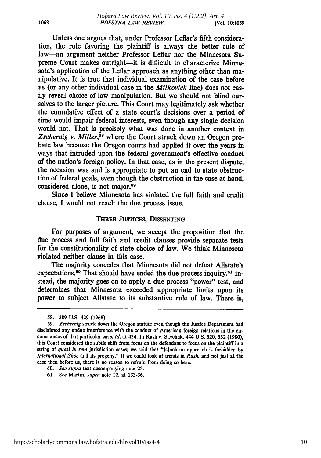Unless one argues that, under Professor Leflar's fifth consideration, the rule favoring the plaintiff is always the better rule of law-an argument neither Professor Leflar nor the Minnesota Supreme Court makes outright-it is difficult to characterize Minnesota's application of the Leflar approach as anything other than manipulative. It is true that individual examination of the case before us (or any other individual case in the *Milkovich* line) does not easily reveal choice-of-law manipulation. But we should not blind ourselves to the larger picture. This Court may legitimately ask whether the cumulative effect of a state court's decisions over a period of time would impair federal interests, even though any single decision would not. That is precisely what was done in another context in Zschernig v. Miller,<sup>58</sup> where the Court struck down an Oregon probate law because the Oregon courts had applied it over the years in ways that intruded upon the federal government's effective conduct of the nation's foreign policy. In that case, as in the present dispute, the occasion was and is appropriate to put an end to state obstruction of federal goals, even though the obstruction in the case at hand, considered alone, is not major.59

Since **I** believe Minnesota has violated the full faith and credit clause, I would not reach the due process issue.

#### THREE JUSTICES, **DISSENTING**

For purposes of argument, we accept the proposition that the due process and full faith and credit clauses provide separate tests for the constitutionality of state choice of law. We think Minnesota violated neither clause in this case.

The majority concedes that Minnesota did not defeat Allstate's expectations.<sup>60</sup> That should have ended the due process inquiry.<sup>61</sup> Instead, the majority goes on to apply a due process "power" test, and determines that Minnesota exceeded appropriate limits upon its power to subject Allstate to its substantive rule of law. There is,

**<sup>58. 389</sup> U.S.** 429 **(1968).**

*<sup>59.</sup> Zschernig* struck down the Oregon statute even though the Justice Department had disclaimed any undue interference with the conduct of American foreign relations in the circumstances of that particular case. *Id.* at 434. In Rush v. Savchuk, 444 **U.S. 320, 332 (1980),** this Court considered the subtle shift from focus on the defendant to focus on the plaintiff in a string of *quasi in rem* jurisdiction cases; we said that "[s]uch an approach is forbidden **by** *International Shoe* and its progeny." **If** we could look at trends in *Rush,* and not just at the case then before us, there is no reason to refrain from doing so here.

**<sup>60.</sup>** *See supra* text accompanying note 22.

**<sup>61.</sup>** *See* Martin, *supra* note 12, at **133-36.**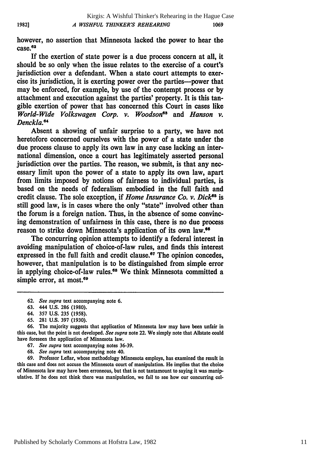however, no assertion that Minnesota lacked the power to hear the  $case$ <sup>62</sup>

If the exertion of state power is a due process concern at all, it should **be** so only when the issue relates to the exercise of a court's jurisdiction over a defendant. When a state court attempts to exercise its jurisdiction, it is exerting power over the parties-power that may be enforced, for example, **by** use of the contempt process or **by** attachment and execution against the parties' property. It is this tangible exertion of power that has concerned this Court in cases like *World-Wide Volkswagen Corp. v. Woodsone "* and *Hanson v. Denckla.e*

Absent a showing of unfair surprise to a party, we have not heretofore concerned ourselves with the power of a state under the due process clause to apply its own law in any case lacking an international dimension, once a court has legitimately asserted personal jurisdiction over the parties. The reason, we submit, is that any necessary limit upon the power of a state to apply its own law, apart from limits imposed **by** notions of fairness to individual parties, is based on the needs of federalism embodied in the full faith and credit clause. The sole exception, if *Home Insurance Co. v. Dick<sup>85</sup>* is still good law, is in cases where the only "state" involved other than the forum is a foreign nation. Thus, in the absence of some convincing demonstration of unfairness in this case, there is no due process reason to strike down Minnesota's application of its own law.<sup>66</sup>

The concurring opinion attempts to identify a federal interest in avoiding manipulation of choice-of-law rules, and finds this interest expressed in the full faith and credit clause.<sup>67</sup> The opinion concedes, however, that manipulation is to be distinguished from simple error in applying choice-of-law rules.<sup>68</sup> We think Minnesota committed a simple error, at most.<sup>68</sup>

- 64. **357 U.S. 235 (1958).**
- **65. 281 U.S. 397 (1930).**

**66.** The majority suggests that application of Minnesota law may have been unfair in this case, but the point is not developed. *See supra* note 22. We simply note that Allstate could have foreseen the application of Minnesota law.

- **67.** *See supra* text accompanying notes **36-39.**
- **68.** *See supra* text accompanying note 40.

**69.** Professor Leflar, whose methodology Minnesota employs, has examined the result in this case and does not accuse the Minnesota court of manipulation. He implies that the choice of Minnesota law may have been erroneous, but that is not tantamount to saying it was manipulative. If he does not think there was manipulation, we fail to see how our concurring col-

**1982]**

**<sup>62.</sup>** *See supra* text accompanying note **6.**

**<sup>63.</sup>** 444 **U.S. 286 (1980).**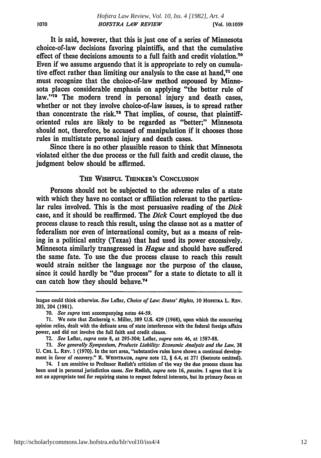It is said, however, that this is just one of a series of Minnesota choice-of-law decisions favoring plaintiffs, and that the cumulative effect of these decisions amounts to a full faith and credit violation."0 Even if we assume arguendo that it is appropriate to rely on cumulative effect rather than limiting our analysis to the case at hand, $71$  one must recognize that the choice-of-law method espoused by Minnesota places considerable emphasis on applying "the better rule of law."<sup>72</sup> The modern trend in personal injury and death cases, whether or not they involve choice-of-law issues, is to spread rather than concentrate the risk."8 That implies, of course, that plaintifforiented rules are likely to be regarded as "better;" Minnesota should not, therefore, be accused of manipulation if it chooses those rules in multistate personal injury and death cases.

Since there is no other plausible reason to think that Minnesota violated either the due process or the full faith and credit clause, the judgment below should be affirmed.

#### THE WISHFUL THINKER'S CONCLUSION

Persons should not be subjected to the adverse rules of a state with which they have no contact or affiliation relevant to the particular rules involved. This is the most persuasive reading of the *Dick* case, and it should be reaffirmed. The *Dick* Court employed the due process clause to reach this result, using the clause not as a matter of federalism nor even of international comity, but as a means of reining in a political entity (Texas) that had used its power excessively. Minnesota similarly transgressed in *Hague* and should have suffered the same fate. To use the due process clause to reach this result would strain neither the language nor the purpose of the clause, since it could hardly be "due process" for a state to dictate to all it can catch how they should behave.74

league could think otherwise. See Leflar, *Choice of Law: States' Rights*, 10 HOFSTRA L. REV. **203,** 204 **(1981).**

**<sup>70.</sup>** *See supra* text accompanying notes 44-59.

**<sup>71.</sup>** We note that Zschernig v. Miller, **389 U.S.** 429 **(1968),** upon which the concurring opinion relies, dealt with the delicate area of state interference with the federal foreign affairs power, and did not involve the full faith and credit clause.

**<sup>72.</sup>** *See* Leflar, *supra* note 8, at 295-304; Leflar, *supra* note 46, at **1587-88.**

**<sup>73.</sup>** *See* generally *Symposium, Products Liability: Economic Analysis and the Law,* **38 U. CHI.** L. REV. **1 (1970).** In the tort area, "substantive rules have shown a continual development in favor of recovery." R. **WEINTRAUB,** *supra* note **12,** § **6.4,** at **271** (footnote omitted).

<sup>74.</sup> **I** am sensitive to Professor Redish's criticism of the way the due process clause has been used in personal jurisdiction cases. *See* Redish, *supra* note **16,** *passim.* **I** agree that it is not an appropriate tool for requiring states to respect federal interests, but its primary focus on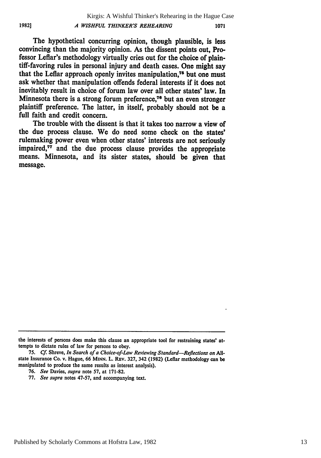**1982]**

The hypothetical concurring opinion, though plausible, is less convincing than the majority opinion. As the dissent points out, Professor Leflar's methodology virtually cries out for the choice of plaintiff-favoring rules in personal injury and death cases. One might say that the Leflar approach openly invites manipulation.<sup>75</sup> but one must ask whether that manipulation offends federal interests if it does not inevitably result in choice of forum law over **all** other states' law. In Minnesota there is a strong forum preference,<sup> $76$ </sup> but an even stronger plaintiff preference. The latter, in itself, probably should not be a full faith and credit concern.

The trouble with the dissent is that it takes too narrow a view of the due process clause. We do need some check on the states' rulemaking power even when other states' interests are not seriously impaired,<sup>77</sup> and the due process clause provides the appropriate means. Minnesota, and its sister states, should be given that message.

- **76.** *See* Davies, *supra* note **57,** at **171-82.**
- **77.** *See supra* notes **47-57,** and accompanying text.

the interests of persons does make this clause an appropriate tool for restraining states' attempts to dictate rules of law for persons to obey.

**<sup>75.</sup>** *Cf.* Shreve, *In Search of a Choice-of-Law Reviewing Standard-Reflections on* **All**state Insurance Co. v. Hague, **66 MINN.** L. **REV. 327,** 342 **(1982)** (Leflar methodology can **be** manipulated to produce the same results as interest analysis).